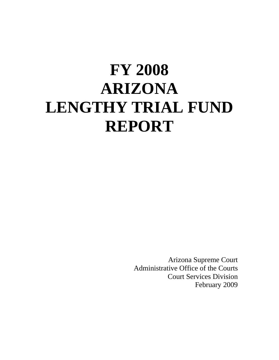# **FY 2008 ARIZONA LENGTHY TRIAL FUND REPORT**

Arizona Supreme Court Administrative Office of the Courts Court Services Division February 2009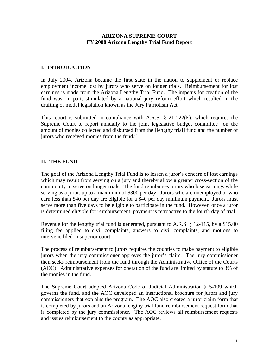#### **ARIZONA SUPREME COURT FY 2008 Arizona Lengthy Trial Fund Report**

## **I. INTRODUCTION**

In July 2004, Arizona became the first state in the nation to supplement or replace employment income lost by jurors who serve on longer trials. Reimbursement for lost earnings is made from the Arizona Lengthy Trial Fund. The impetus for creation of the fund was, in part, stimulated by a national jury reform effort which resulted in the drafting of model legislation known as the Jury Patriotism Act.

This report is submitted in compliance with A.R.S. § 21-222(E), which requires the Supreme Court to report annually to the joint legislative budget committee "on the amount of monies collected and disbursed from the [lengthy trial] fund and the number of jurors who received monies from the fund."

## **II. THE FUND**

The goal of the Arizona Lengthy Trial Fund is to lessen a juror's concern of lost earnings which may result from serving on a jury and thereby allow a greater cross-section of the community to serve on longer trials. The fund reimburses jurors who lose earnings while serving as a juror, up to a maximum of \$300 per day. Jurors who are unemployed or who earn less than \$40 per day are eligible for a \$40 per day minimum payment. Jurors must serve more than five days to be eligible to participate in the fund. However, once a juror is determined eligible for reimbursement, payment is retroactive to the fourth day of trial.

Revenue for the lengthy trial fund is generated, pursuant to A.R.S. § 12-115, by a \$15.00 filing fee applied to civil complaints, answers to civil complaints, and motions to intervene filed in superior court.

The process of reimbursement to jurors requires the counties to make payment to eligible jurors when the jury commissioner approves the juror's claim. The jury commissioner then seeks reimbursement from the fund through the Administrative Office of the Courts (AOC). Administrative expenses for operation of the fund are limited by statute to 3% of the monies in the fund.

The Supreme Court adopted Arizona Code of Judicial Administration § 5-109 which governs the fund, and the AOC developed an instructional brochure for jurors and jury commissioners that explains the program. The AOC also created a juror claim form that is completed by jurors and an Arizona lengthy trial fund reimbursement request form that is completed by the jury commissioner. The AOC reviews all reimbursement requests and issues reimbursement to the county as appropriate.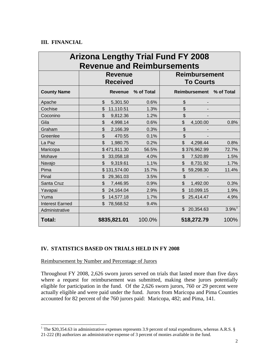## **III. FINANCIAL**

| <b>Arizona Lengthy Trial Fund FY 2008</b><br><b>Revenue and Reimbursements</b> |                 |                |            |                      |                      |                      |
|--------------------------------------------------------------------------------|-----------------|----------------|------------|----------------------|----------------------|----------------------|
|                                                                                | <b>Revenue</b>  |                |            | <b>Reimbursement</b> |                      |                      |
|                                                                                | <b>Received</b> |                |            | <b>To Courts</b>     |                      |                      |
| <b>County Name</b>                                                             |                 | <b>Revenue</b> | % of Total |                      | <b>Reimbursement</b> | % of Total           |
| Apache                                                                         | \$              | 5,301.50       | 0.6%       | \$                   |                      |                      |
| Cochise                                                                        | \$              | 11,110.51      | 1.3%       | \$                   |                      |                      |
| Coconino                                                                       | \$              | 9,812.36       | 1.2%       | \$                   |                      |                      |
| Gila                                                                           | \$              | 4,998.14       | 0.6%       | \$                   | 4,100.00             | 0.8%                 |
| Graham                                                                         | \$              | 2,166.39       | 0.3%       | \$                   |                      |                      |
| Greenlee                                                                       | \$              | 470.55         | 0.1%       | \$                   |                      |                      |
| La Paz                                                                         | $\mathfrak{S}$  | 1,980.75       | 0.2%       | \$                   | 4,298.44             | 0.8%                 |
| Maricopa                                                                       |                 | \$471,911.30   | 56.5%      |                      | \$376,962.99         | 72.7%                |
| Mohave                                                                         | \$              | 33,058.18      | 4.0%       | \$                   | 7,520.89             | 1.5%                 |
| Navajo                                                                         | \$              | 9,319.61       | 1.1%       | $\mathfrak{D}$       | 8,731.92             | 1.7%                 |
| Pima                                                                           |                 | \$131,574.00   | 15.7%      | \$                   | 59,298.30            | 11.4%                |
| Pinal                                                                          | \$              | 29,361.03      | 3.5%       | \$                   |                      |                      |
| Santa Cruz                                                                     | \$              | 7,446.95       | 0.9%       | $\mathfrak{S}$       | 1,492.00             | 0.3%                 |
| Yavapai                                                                        | \$              | 24,164.04      | 2.9%       | \$                   | 10,099.15            | 1.9%                 |
| Yuma                                                                           | \$              | 14,577.18      | 1.7%       | \$                   | 25,414.47            | 4.9%                 |
| <b>Interest Earned</b>                                                         | \$              | 78,568.52      | 9.4%       |                      |                      |                      |
| Administrative                                                                 |                 |                |            | \$                   | 20,354.63            | $3.9\%$ <sup>1</sup> |
| Total:                                                                         |                 | \$835,821.01   | 100.0%     |                      | 518,272.79           | 100%                 |

## **IV. STATISTICS BASED ON TRIALS HELD IN FY 2008**

Reimbursement by Number and Percentage of Jurors

Throughout FY 2008, 2,626 sworn jurors served on trials that lasted more than five days where a request for reimbursement was submitted, making these jurors potentially eligible for participation in the fund. Of the 2,626 sworn jurors, 760 or 29 percent were actually eligible and were paid under the fund. Jurors from Maricopa and Pima Counties accounted for 82 percent of the 760 jurors paid: Maricopa, 482; and Pima, 141.

<span id="page-2-0"></span><sup>&</sup>lt;sup>1</sup> The \$20,354.63 in administrative expenses represents 3.9 percent of total expenditures, whereas A.R.S. § 21-222 (B) authorizes an administrative expense of 3 percent of monies available in the fund.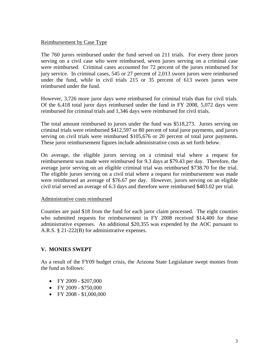#### Reimbursement by Case Type

The 760 jurors reimbursed under the fund served on 211 trials. For every three jurors serving on a civil case who were reimbursed, seven jurors serving on a criminal case were reimbursed. Criminal cases accounted for 72 percent of the jurors reimbursed for jury service. In criminal cases, 545 or 27 percent of 2,013 sworn jurors were reimbursed under the fund, while in civil trials 215 or 35 percent of 613 sworn jurors were reimbursed under the fund.

However, 3,726 more juror days were reimbursed for criminal trials than for civil trials. Of the 6,418 total juror days reimbursed under the fund in FY 2008, 5,072 days were reimbursed for criminal trials and 1,346 days were reimbursed for civil trials.

The total amount reimbursed to jurors under the fund was \$518,273. Jurors serving on criminal trials were reimbursed \$412,597 or 80 percent of total juror payments, and jurors serving on civil trials were reimbursed \$105,676 or 20 percent of total juror payments. These juror reimbursement figures include administrative costs as set forth below.

On average, the eligible jurors serving on a criminal trial where a request for reimbursement was made were reimbursed for 9.3 days at \$79.43 per day. Therefore, the average juror serving on an eligible criminal trial was reimbursed \$738.70 for the trial. The eligible jurors serving on a civil trial where a request for reimbursement was made were reimbursed an average of \$76.67 per day. However, jurors serving on an eligible civil trial served an average of 6.3 days and therefore were reimbursed \$483.02 per trial.

#### Administrative costs reimbursed

Counties are paid \$18 from the fund for each juror claim processed. The eight counties who submitted requests for reimbursement in FY 2008 received \$14,400 for these administrative expenses. An additional \$20,355 was expended by the AOC pursuant to A.R.S. § 21-222(B) for administrative expenses.

#### **V. MONIES SWEPT**

As a result of the FY09 budget crisis, the Arizona State Legislature swept monies from the fund as follows:

- FY 2009 \$207,000
- FY 2009 \$750,000
- FY 2008 \$1,000,000